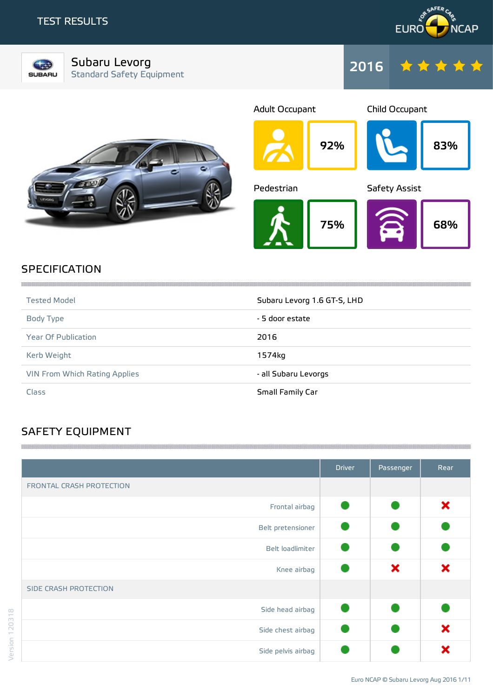## TEST RESULTS





Subaru Levorg Standard Safety Equipment







# **SPECIFICATION**

| <b>Tested Model</b>                  | Subaru Levorg 1.6 GT-S, LHD |
|--------------------------------------|-----------------------------|
| Body Type                            | - 5 door estate             |
| <b>Year Of Publication</b>           | 2016                        |
| Kerb Weight                          | 1574kg                      |
| <b>VIN From Which Rating Applies</b> | - all Subaru Levorgs        |
| Class                                | Small Family Car            |

# SAFETY EQUIPMENT

|                          | <b>Driver</b> | Passenger | Rear |
|--------------------------|---------------|-----------|------|
| FRONTAL CRASH PROTECTION |               |           |      |
| Frontal airbag           |               |           | ×    |
| Belt pretensioner        |               |           |      |
| Belt loadlimiter         |               |           |      |
| Knee airbag              |               | ×         | ×    |
| SIDE CRASH PROTECTION    |               |           |      |
| Side head airbag         |               |           |      |
| Side chest airbag        |               |           | ×    |
| Side pelvis airbag       |               |           | Y    |

 $1111111$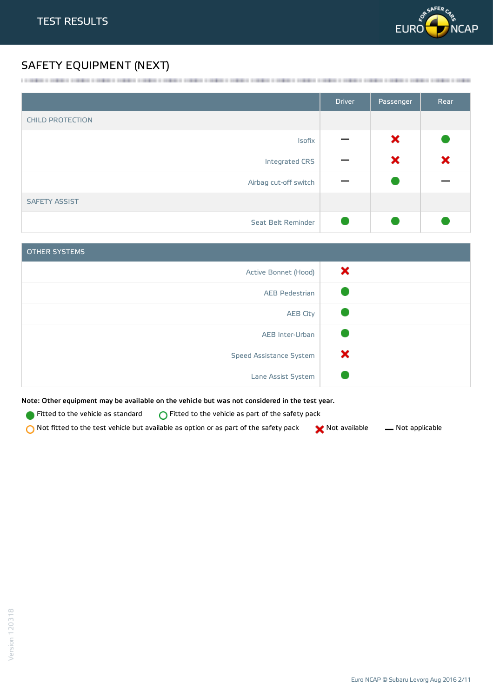

# SAFETY EQUIPMENT (NEXT)

|                         | <b>Driver</b> | Passenger | Rear |
|-------------------------|---------------|-----------|------|
| <b>CHILD PROTECTION</b> |               |           |      |
| Isofix                  |               | ×         |      |
| Integrated CRS          |               | ×         | ×    |
| Airbag cut-off switch   |               |           |      |
| <b>SAFETY ASSIST</b>    |               |           |      |
| Seat Belt Reminder      |               |           |      |

<u> 1989 - Andrea Stadt Stadt Stadt Stadt Stadt Stadt Stadt Stadt Stadt Stadt Stadt Stadt Stadt Stadt Stadt Stadt Stadt Stadt Stadt Stadt Stadt Stadt Stadt Stadt Stadt Stadt Stadt Stadt Stadt Stadt Stadt Stadt Stadt Stadt St</u>

| <b>OTHER SYSTEMS</b>    |   |
|-------------------------|---|
| Active Bonnet (Hood)    | × |
| <b>AEB Pedestrian</b>   |   |
| <b>AEB City</b>         |   |
| AEB Inter-Urban         |   |
| Speed Assistance System | × |
| Lane Assist System      |   |

Note: Other equipment may be available on the vehicle but was not considered in the test year.

Fitted to the vehicle as standard  $\bigcirc$  Fitted to the vehicle as part of the safety pack

 $\bigcirc$  Not fitted to the test vehicle but available as option or as part of the safety pack  $\bigcirc$  Not available  $\qquad$  Not applicable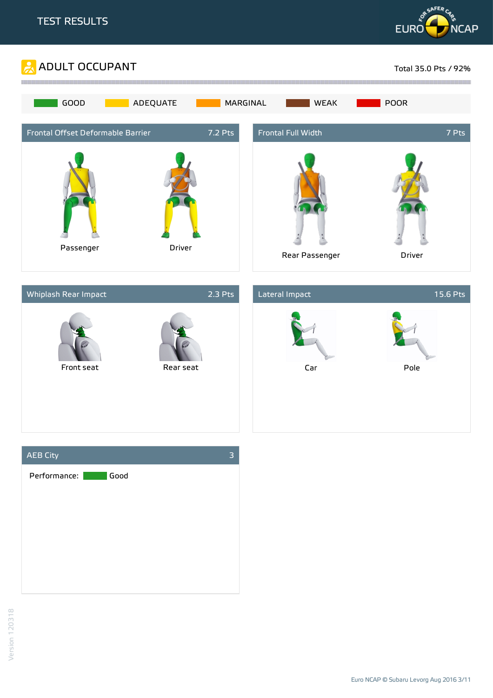







Euro NCAP © Subaru Levorg Aug 2016 3/11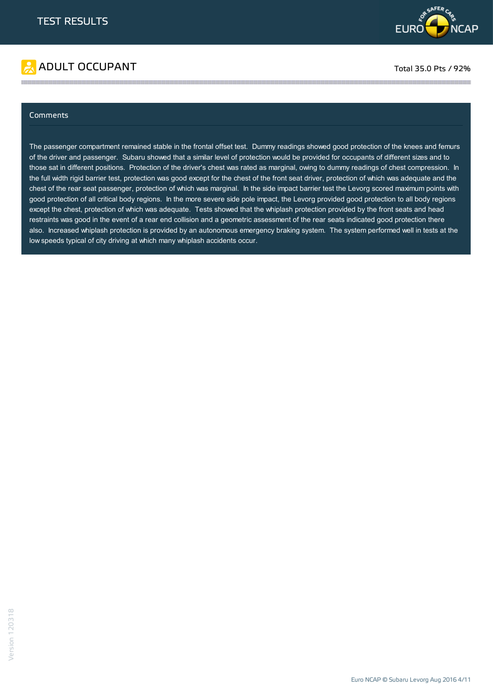

# ADULT OCCUPANT TO A RESERVE TO A RESERVE TO A RESERVE TO A RESERVE TO A RESERVE TO A RESERVE TO A RESERVE TO A

#### Comments

The passenger compartment remained stable in the frontal offset test. Dummy readings showed good protection of the knees and femurs of the driver and passenger. Subaru showed that a similar level of protection would be provided for occupants of different sizes and to those sat in different positions. Protection of the driver's chest was rated as marginal, owing to dummy readings of chest compression. In the full width rigid barrier test, protection was good except for the chest of the front seat driver, protection of which was adequate and the chest of the rear seat passenger, protection of which was marginal. In the side impact barrier test the Levorg scored maximum points with good protection of all critical body regions. In the more severe side pole impact, the Levorg provided good protection to all body regions except the chest, protection of which was adequate. Tests showed that the whiplash protection provided by the front seats and head restraints was good in the event of a rear end collision and a geometric assessment of the rear seats indicated good protection there also. Increased whiplash protection is provided by an autonomous emergency braking system. The system performed well in tests at the low speeds typical of city driving at which many whiplash accidents occur.

the contract of the contract of the contract of the contract of the contract of the contract of the contract of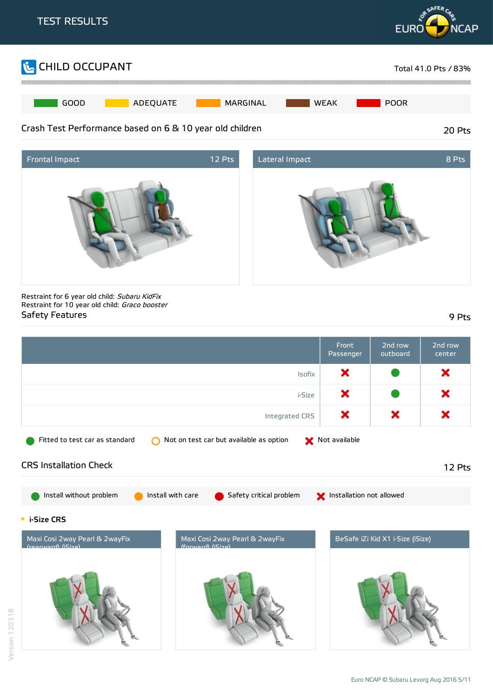





Restraint for 6 year old child: Subaru KidFix Restraint for 10 year old child: Graco booster Safety Features 9 Pts

|                                                     |                                                                    | Front<br>Passenger       | 2nd row<br>outboard              | 2nd row<br>center |
|-----------------------------------------------------|--------------------------------------------------------------------|--------------------------|----------------------------------|-------------------|
|                                                     | Isofix                                                             | ×                        |                                  | ×                 |
|                                                     | i-Size                                                             | ×                        |                                  | ×                 |
|                                                     | <b>Integrated CRS</b>                                              | ×                        | ×                                | ×                 |
| Fitted to test car as standard                      | Not on test car but available as option                            | Not available            |                                  |                   |
| <b>CRS Installation Check</b>                       |                                                                    |                          |                                  | 12 Pts            |
| Install without problem                             | Install with care<br>Safety critical problem                       | Installation not allowed |                                  |                   |
| $\blacksquare$ i-Size CRS                           |                                                                    |                          |                                  |                   |
| Maxi Cosi 2way Pearl & 2wayFix<br>(rearward) (Size) | Maxi Cosi 2way Pearl & 2wayFix<br>$f_{\text{OMA}}$ $r$ d) $f(Siz)$ |                          | BeSafe iZi Kid X1 i-Size (iSize) |                   |
|                                                     |                                                                    |                          |                                  |                   |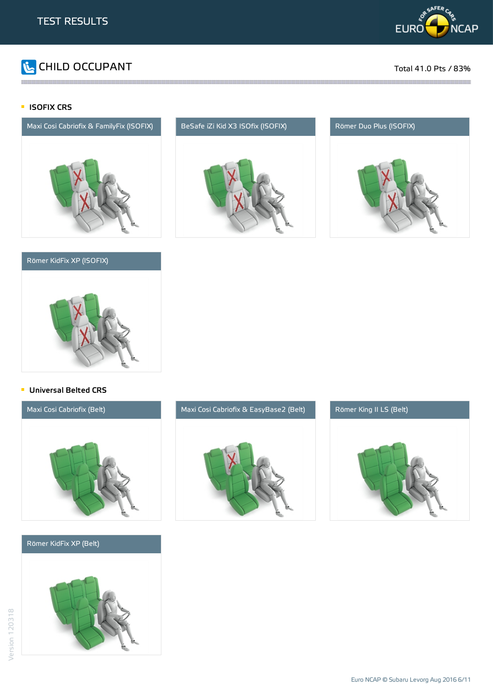

# **The CHILD OCCUPANT** Total 41.0 Pts / 83%

### **ISOFIX CRS**



### Römer KidFix XP (ISOFIX)



the contract of the contract of the contract of the contract of the contract of the contract of the contract of





#### **Universal Belted CRS**



#### Römer KidFix XP (Belt)





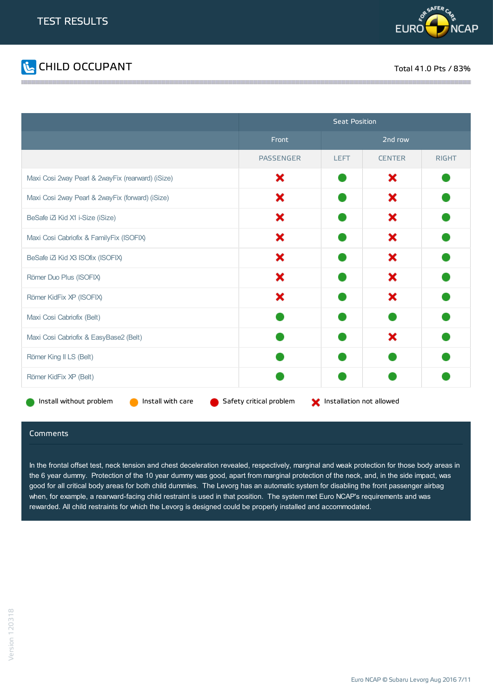



|                                                   | <b>Seat Position</b>    |                          |               |              |
|---------------------------------------------------|-------------------------|--------------------------|---------------|--------------|
|                                                   | Front                   |                          | 2nd row       |              |
|                                                   | <b>PASSENGER</b>        | <b>LEFT</b>              | <b>CENTER</b> | <b>RIGHT</b> |
| Maxi Cosi 2way Pearl & 2wayFix (rearward) (iSize) | ×                       |                          | ×             |              |
| Maxi Cosi 2way Pearl & 2wayFix (forward) (iSize)  | x                       |                          | ×             |              |
| BeSafe iZi Kid X1 i-Size (iSize)                  | x                       |                          | ×             |              |
| Maxi Cosi Cabriofix & FamilyFix (ISOFIX)          | x                       |                          | ×             |              |
| BeSafe iZ Kid X3 ISOfix (ISOFIX)                  | ×                       |                          | ×             |              |
| Römer Duo Plus (ISOFIX)                           | ×                       |                          | ×             |              |
| Römer KidFix XP (ISOFIX)                          | ×                       |                          | ×             |              |
| Maxi Cosi Cabriofix (Belt)                        |                         |                          |               |              |
| Maxi Cosi Cabriofix & EasyBase2 (Belt)            |                         |                          | ×             |              |
| Römer King II LS (Belt)                           |                         |                          |               |              |
| Römer KidFix XP (Belt)                            |                         |                          |               |              |
| Install without problem<br>Install with care      | Safety critical problem | Installation not allowed |               |              |

#### **Comments**

In the frontal offset test, neck tension and chest deceleration revealed, respectively, marginal and weak protection for those body areas in the 6 year dummy. Protection of the 10 year dummy was good, apart from marginal protection of the neck, and, in the side impact, was good for all critical body areas for both child dummies. The Levorg has an automatic system for disabling the front passenger airbag when, for example, a rearward-facing child restraint is used in that position. The system met Euro NCAP's requirements and was rewarded. All child restraints for which the Levorg is designed could be properly installed and accommodated.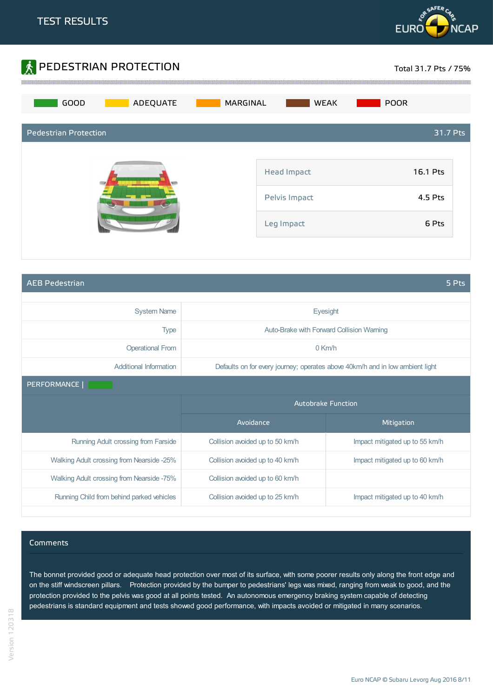



AEB Pedestrian 5 Pts

| <b>System Name</b>                        | Eyesight                                  |                                                                               |  |
|-------------------------------------------|-------------------------------------------|-------------------------------------------------------------------------------|--|
| <b>Type</b>                               | Auto-Brake with Forward Collision Warning |                                                                               |  |
| <b>Operational From</b>                   | $0$ Km/h                                  |                                                                               |  |
| Additional Information                    |                                           | Defaults on for every journey; operates above 40km/h and in low ambient light |  |
| PERFORMANCE                               |                                           |                                                                               |  |
|                                           | <b>Autobrake Function</b>                 |                                                                               |  |
|                                           |                                           |                                                                               |  |
|                                           | Avoidance                                 | Mitigation                                                                    |  |
| Running Adult crossing from Farside       | Collision avoided up to 50 km/h           | Impact mitigated up to 55 km/h                                                |  |
| Walking Adult crossing from Nearside -25% | Collision avoided up to 40 km/h           | Impact mitigated up to 60 km/h                                                |  |
| Walking Adult crossing from Nearside -75% | Collision avoided up to 60 km/h           |                                                                               |  |

#### Comments

The bonnet provided good or adequate head protection over most of its surface, with some poorer results only along the front edge and on the stiff windscreen pillars. Protection provided by the bumper to pedestrians' legs was mixed, ranging from weak to good, and the protection provided to the pelvis was good at all points tested. An autonomous emergency braking system capable of detecting pedestrians is standard equipment and tests showed good performance, with impacts avoided or mitigated in many scenarios.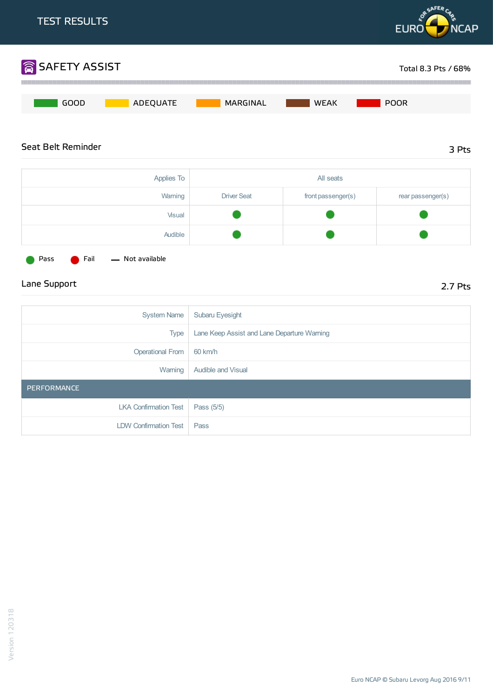

Type Lane Keep Assist and Lane Departure Warning

Lane Support 2.7 Pts

Audible

System Name | Subaru Eyesight

Warning | Audible and Visual

Operational From 60 km/h

LKA Confirmation Test  $\vert$  Pass (5/5)

LDW Confirmation Test | Pass

Pass **C** Fail - Not available

PERFORMANCE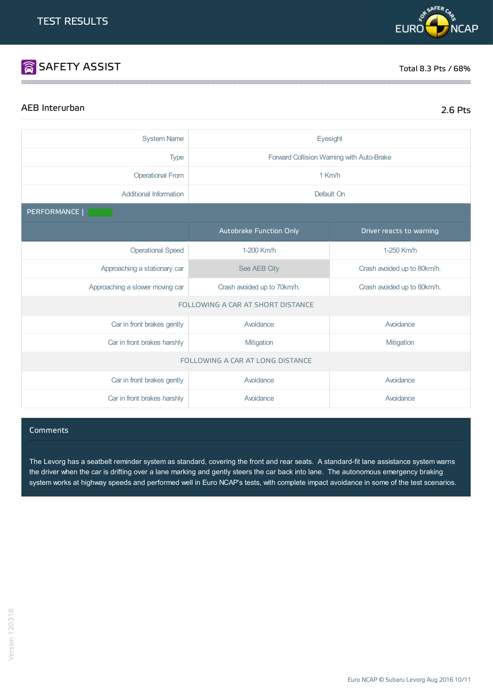# SAFETY ASSIST TOTAL RESERVED BY A SAFETY ASSIST

# AEB Interurban 2.6 Pts

| <b>System Name</b>                | Eyesight                                                   |                             |  |
|-----------------------------------|------------------------------------------------------------|-----------------------------|--|
| <b>Type</b>                       | Forward Collision Warning with Auto-Brake                  |                             |  |
| <b>Operational From</b>           | 1 Km/h                                                     |                             |  |
| <b>Additional Information</b>     | Default On                                                 |                             |  |
| PERFORMANCE                       |                                                            |                             |  |
|                                   | <b>Autobrake Function Only</b>                             | Driver reacts to warning    |  |
| <b>Operational Speed</b>          | 1-200 Km/h                                                 | 1-250 Km/h                  |  |
| Approaching a stationary car      | See AEB City                                               | Crash avoided up to 80km/h. |  |
| Approaching a slower moving car   | Crash avoided up to 70km/h.<br>Crash avoided up to 80km/h. |                             |  |
| FOLLOWING A CAR AT SHORT DISTANCE |                                                            |                             |  |
| Car in front brakes gently        | Avoidance                                                  | Avoidance                   |  |
| Car in front brakes harshly       | Mitigation<br>Mitigation                                   |                             |  |
| FOLLOWING A CAR AT LONG DISTANCE  |                                                            |                             |  |
| Car in front brakes gently        | Avoidance                                                  | Avoidance                   |  |
| Car in front brakes harshly       | Avoidance                                                  | Avoidance                   |  |

the contract of the contract of the contract of the contract of the contract of the contract of the contract of

#### **Comments**

The Levorg has a seatbelt reminder system as standard, covering the front and rear seats. A standard-fit lane assistance system warns the driver when the car is drifting over a lane marking and gently steers the car back into lane. The autonomous emergency braking system works at highway speeds and performed well in Euro NCAP's tests, with complete impact avoidance in some of the test scenarios.